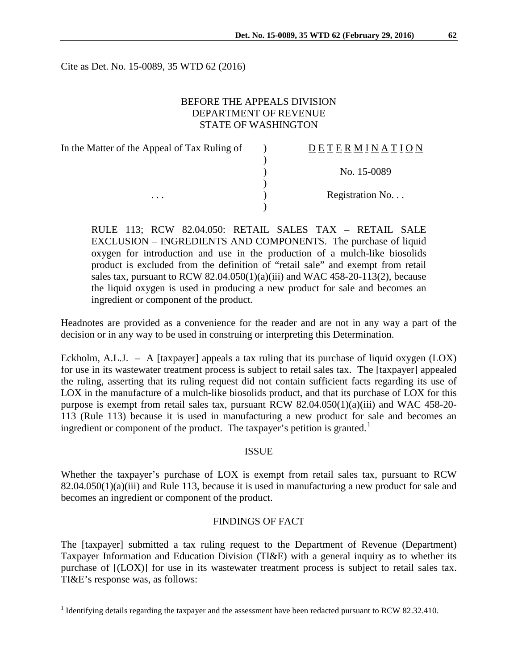Cite as Det. No. 15-0089, 35 WTD 62 (2016)

# BEFORE THE APPEALS DIVISION DEPARTMENT OF REVENUE STATE OF WASHINGTON

| In the Matter of the Appeal of Tax Ruling of | DETERMINATION   |
|----------------------------------------------|-----------------|
|                                              |                 |
|                                              | No. 15-0089     |
|                                              |                 |
| $\cdots$                                     | Registration No |
|                                              |                 |

RULE 113; RCW 82.04.050: RETAIL SALES TAX – RETAIL SALE EXCLUSION – INGREDIENTS AND COMPONENTS. The purchase of liquid oxygen for introduction and use in the production of a mulch-like biosolids product is excluded from the definition of "retail sale" and exempt from retail sales tax, pursuant to RCW  $82.04.050(1)(a)(iii)$  and WAC 458-20-113(2), because the liquid oxygen is used in producing a new product for sale and becomes an ingredient or component of the product.

Headnotes are provided as a convenience for the reader and are not in any way a part of the decision or in any way to be used in construing or interpreting this Determination.

Eckholm, A.L.J. – A [taxpayer] appeals a tax ruling that its purchase of liquid oxygen (LOX) for use in its wastewater treatment process is subject to retail sales tax. The [taxpayer] appealed the ruling, asserting that its ruling request did not contain sufficient facts regarding its use of LOX in the manufacture of a mulch-like biosolids product, and that its purchase of LOX for this purpose is exempt from retail sales tax, pursuant RCW 82.04.050(1)(a)(iii) and WAC 458-20- 113 (Rule 113) because it is used in manufacturing a new product for sale and becomes an ingredient or component of the product. The taxpayer's petition is granted.<sup>[1](#page-0-0)</sup>

### ISSUE

Whether the taxpayer's purchase of LOX is exempt from retail sales tax, pursuant to RCW 82.04.050(1)(a)(iii) and Rule 113, because it is used in manufacturing a new product for sale and becomes an ingredient or component of the product.

# FINDINGS OF FACT

The [taxpayer] submitted a tax ruling request to the Department of Revenue (Department) Taxpayer Information and Education Division (TI&E) with a general inquiry as to whether its purchase of [(LOX)] for use in its wastewater treatment process is subject to retail sales tax. TI&E's response was, as follows:

<span id="page-0-0"></span><sup>&</sup>lt;sup>1</sup> Identifying details regarding the taxpayer and the assessment have been redacted pursuant to RCW 82.32.410.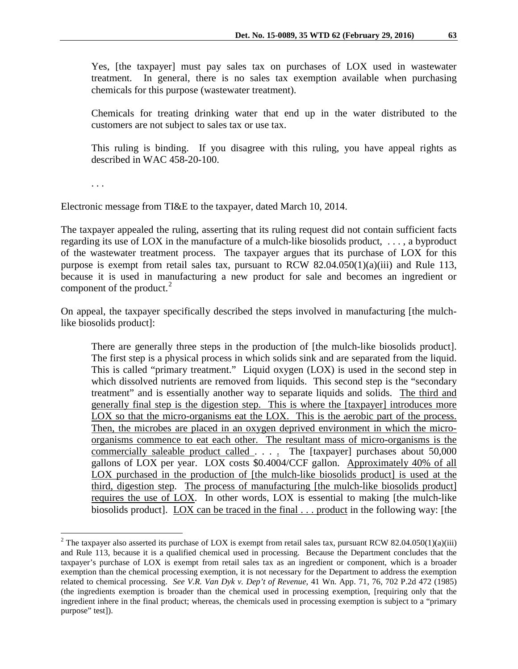Yes, [the taxpayer] must pay sales tax on purchases of LOX used in wastewater treatment. In general, there is no sales tax exemption available when purchasing chemicals for this purpose (wastewater treatment).

Chemicals for treating drinking water that end up in the water distributed to the customers are not subject to sales tax or use tax.

This ruling is binding. If you disagree with this ruling, you have appeal rights as described in WAC 458-20-100.

. . .

Electronic message from TI&E to the taxpayer, dated March 10, 2014.

The taxpayer appealed the ruling, asserting that its ruling request did not contain sufficient facts regarding its use of LOX in the manufacture of a mulch-like biosolids product, . . . , a byproduct of the wastewater treatment process. The taxpayer argues that its purchase of LOX for this purpose is exempt from retail sales tax, pursuant to RCW 82.04.050(1)(a)(iii) and Rule 113, because it is used in manufacturing a new product for sale and becomes an ingredient or component of the product. $^{2}$  $^{2}$  $^{2}$ 

On appeal, the taxpayer specifically described the steps involved in manufacturing [the mulchlike biosolids product]:

There are generally three steps in the production of [the mulch-like biosolids product]. The first step is a physical process in which solids sink and are separated from the liquid. This is called "primary treatment." Liquid oxygen (LOX) is used in the second step in which dissolved nutrients are removed from liquids. This second step is the "secondary treatment" and is essentially another way to separate liquids and solids. The third and generally final step is the digestion step. This is where the [taxpayer] introduces more LOX so that the micro-organisms eat the LOX. This is the aerobic part of the process. Then, the microbes are placed in an oxygen deprived environment in which the microorganisms commence to eat each other. The resultant mass of micro-organisms is the commercially saleable product called . . . . The [taxpayer] purchases about 50,000 gallons of LOX per year. LOX costs \$0.4004/CCF gallon. Approximately 40% of all LOX purchased in the production of [the mulch-like biosolids product] is used at the third, digestion step. The process of manufacturing [the mulch-like biosolids product] requires the use of LOX. In other words, LOX is essential to making [the mulch-like biosolids product]. LOX can be traced in the final . . . product in the following way: [the

<span id="page-1-0"></span><sup>&</sup>lt;sup>2</sup> The taxpayer also asserted its purchase of LOX is exempt from retail sales tax, pursuant RCW 82.04.050(1)(a)(iii) and Rule 113, because it is a qualified chemical used in processing. Because the Department concludes that the taxpayer's purchase of LOX is exempt from retail sales tax as an ingredient or component, which is a broader exemption than the chemical processing exemption, it is not necessary for the Department to address the exemption related to chemical processing. *See V.R. Van Dyk v. Dep't of Revenue*, 41 Wn. App. 71, 76, 702 P.2d 472 (1985) (the ingredients exemption is broader than the chemical used in processing exemption, [requiring only that the ingredient inhere in the final product; whereas, the chemicals used in processing exemption is subject to a "primary purpose" test]).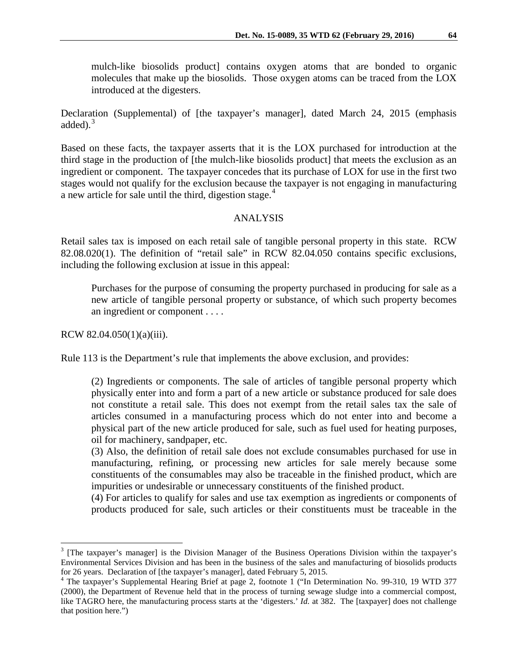mulch-like biosolids product] contains oxygen atoms that are bonded to organic molecules that make up the biosolids. Those oxygen atoms can be traced from the LOX introduced at the digesters.

Declaration (Supplemental) of [the taxpayer's manager], dated March 24, 2015 (emphasis added). [3](#page-2-0)

Based on these facts, the taxpayer asserts that it is the LOX purchased for introduction at the third stage in the production of [the mulch-like biosolids product] that meets the exclusion as an ingredient or component. The taxpayer concedes that its purchase of LOX for use in the first two stages would not qualify for the exclusion because the taxpayer is not engaging in manufacturing a new article for sale until the third, digestion stage.<sup>[4](#page-2-1)</sup>

#### ANALYSIS

Retail sales tax is imposed on each retail sale of tangible personal property in this state. RCW 82.08.020(1). The definition of "retail sale" in RCW 82.04.050 contains specific exclusions, including the following exclusion at issue in this appeal:

Purchases for the purpose of consuming the property purchased in producing for sale as a new article of tangible personal property or substance, of which such property becomes an ingredient or component . . . .

RCW 82.04.050(1)(a)(iii).

Rule 113 is the Department's rule that implements the above exclusion, and provides:

(2) Ingredients or components. The sale of articles of tangible personal property which physically enter into and form a part of a new article or substance produced for sale does not constitute a retail sale. This does not exempt from the retail sales tax the sale of articles consumed in a manufacturing process which do not enter into and become a physical part of the new article produced for sale, such as fuel used for heating purposes, oil for machinery, sandpaper, etc.

(3) Also, the definition of retail sale does not exclude consumables purchased for use in manufacturing, refining, or processing new articles for sale merely because some constituents of the consumables may also be traceable in the finished product, which are impurities or undesirable or unnecessary constituents of the finished product.

(4) For articles to qualify for sales and use tax exemption as ingredients or components of products produced for sale, such articles or their constituents must be traceable in the

<span id="page-2-0"></span><sup>&</sup>lt;sup>3</sup> [The taxpayer's manager] is the Division Manager of the Business Operations Division within the taxpayer's Environmental Services Division and has been in the business of the sales and manufacturing of biosolids products for 26 years. Declaration of [the taxpayer's manager], dated February 5, 2015.

<span id="page-2-1"></span><sup>&</sup>lt;sup>4</sup> The taxpayer's Supplemental Hearing Brief at page 2, footnote 1 ("In Determination No. 99-310, 19 WTD 377 (2000), the Department of Revenue held that in the process of turning sewage sludge into a commercial compost, like TAGRO here, the manufacturing process starts at the 'digesters.' *Id.* at 382. The [taxpayer] does not challenge that position here.")